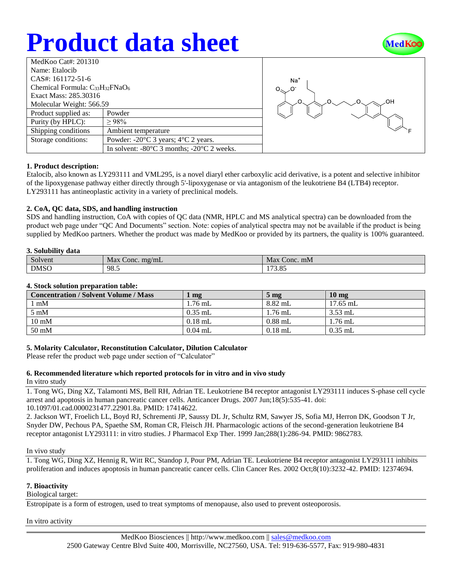# **Product data sheet**



| MedKoo Cat#: 201310                    |                                                                |  |  |  |
|----------------------------------------|----------------------------------------------------------------|--|--|--|
|                                        |                                                                |  |  |  |
| Name: Etalocib                         |                                                                |  |  |  |
| CAS#: 161172-51-6                      |                                                                |  |  |  |
| Chemical Formula: $C_{33}H_{32}FNaO_6$ |                                                                |  |  |  |
| Exact Mass: 285.30316                  |                                                                |  |  |  |
| Molecular Weight: 566.59               |                                                                |  |  |  |
| Product supplied as:                   | Powder                                                         |  |  |  |
| Purity (by HPLC):                      | $\geq 98\%$                                                    |  |  |  |
| Shipping conditions                    | Ambient temperature                                            |  |  |  |
| Storage conditions:                    | Powder: $-20^{\circ}$ C 3 years; $4^{\circ}$ C 2 years.        |  |  |  |
|                                        | In solvent: $-80^{\circ}$ C 3 months; $-20^{\circ}$ C 2 weeks. |  |  |  |



## **1. Product description:**

Etalocib, also known as LY293111 and VML295, is a novel diaryl ether carboxylic acid derivative, is a potent and selective inhibitor of the lipoxygenase pathway either directly through 5'-lipoxygenase or via antagonism of the leukotriene B4 (LTB4) receptor. LY293111 has antineoplastic activity in a variety of preclinical models.

## **2. CoA, QC data, SDS, and handling instruction**

SDS and handling instruction, CoA with copies of QC data (NMR, HPLC and MS analytical spectra) can be downloaded from the product web page under "QC And Documents" section. Note: copies of analytical spectra may not be available if the product is being supplied by MedKoo partners. Whether the product was made by MedKoo or provided by its partners, the quality is 100% guaranteed.

## **3. Solubility data**

| $\sim \sim \sim \sim \sim \sim \sim \sim$<br>------- |                      |                 |  |  |
|------------------------------------------------------|----------------------|-----------------|--|--|
| $\sim$<br>Solvent                                    | Max<br>Conc. $mg/mL$ | Max<br>Conc. mM |  |  |
| <b>DMSO</b>                                          | 98.5                 | 1720c<br>17.09  |  |  |

## **4. Stock solution preparation table:**

| <b>Concentration / Solvent Volume / Mass</b> | mg        | 5 <sub>mg</sub> | $10 \text{ mg}$ |
|----------------------------------------------|-----------|-----------------|-----------------|
| mM                                           | $1.76$ mL | 8.82 mL         | $17.65$ mL      |
| $5 \text{ mM}$                               | $0.35$ mL | 1.76 mL         | $3.53$ mL       |
| $10 \text{ mM}$                              | $0.18$ mL | $0.88$ mL       | $1.76$ mL       |
| $50 \text{ mM}$                              | $0.04$ mL | $0.18$ mL       | $0.35$ mL       |

## **5. Molarity Calculator, Reconstitution Calculator, Dilution Calculator**

Please refer the product web page under section of "Calculator"

## **6. Recommended literature which reported protocols for in vitro and in vivo study**

In vitro study

1. Tong WG, Ding XZ, Talamonti MS, Bell RH, Adrian TE. Leukotriene B4 receptor antagonist LY293111 induces S-phase cell cycle arrest and apoptosis in human pancreatic cancer cells. Anticancer Drugs. 2007 Jun;18(5):535-41. doi: 10.1097/01.cad.0000231477.22901.8a. PMID: 17414622.

2. Jackson WT, Froelich LL, Boyd RJ, Schrementi JP, Saussy DL Jr, Schultz RM, Sawyer JS, Sofia MJ, Herron DK, Goodson T Jr, Snyder DW, Pechous PA, Spaethe SM, Roman CR, Fleisch JH. Pharmacologic actions of the second-generation leukotriene B4 receptor antagonist LY293111: in vitro studies. J Pharmacol Exp Ther. 1999 Jan;288(1):286-94. PMID: 9862783.

## In vivo study

1. Tong WG, Ding XZ, Hennig R, Witt RC, Standop J, Pour PM, Adrian TE. Leukotriene B4 receptor antagonist LY293111 inhibits proliferation and induces apoptosis in human pancreatic cancer cells. Clin Cancer Res. 2002 Oct;8(10):3232-42. PMID: 12374694.

## **7. Bioactivity**

## Biological target:

Estropipate is a form of estrogen, used to treat symptoms of menopause, also used to prevent osteoporosis.

In vitro activity